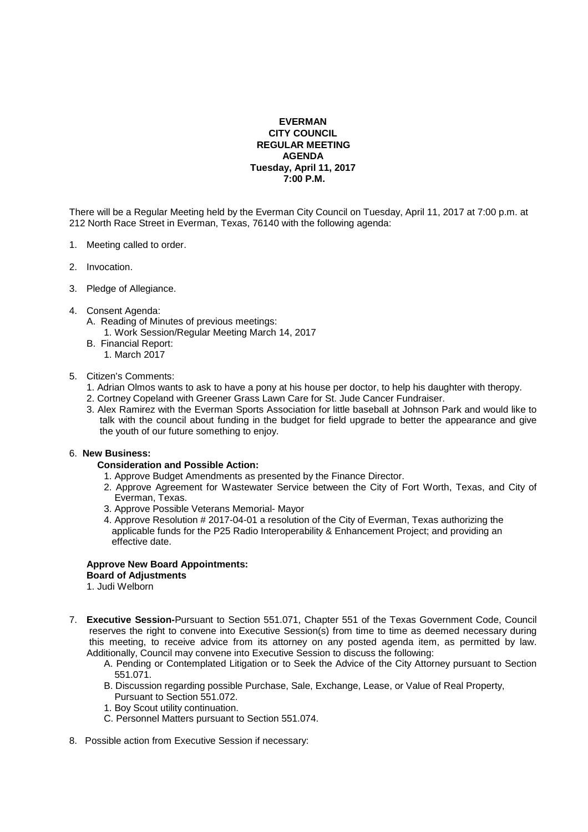# **EVERMAN CITY COUNCIL REGULAR MEETING AGENDA Tuesday, April 11, 2017 7:00 P.M.**

There will be a Regular Meeting held by the Everman City Council on Tuesday, April 11, 2017 at 7:00 p.m. at 212 North Race Street in Everman, Texas, 76140 with the following agenda:

- 1. Meeting called to order.
- 2. Invocation.
- 3. Pledge of Allegiance.
- 4. Consent Agenda:
	- A. Reading of Minutes of previous meetings:
		- 1. Work Session/Regular Meeting March 14, 2017
	- B. Financial Report: 1. March 2017

# 5. Citizen's Comments:

- 1. Adrian Olmos wants to ask to have a pony at his house per doctor, to help his daughter with theropy.
- 2. Cortney Copeland with Greener Grass Lawn Care for St. Jude Cancer Fundraiser.
- 3. Alex Ramirez with the Everman Sports Association for little baseball at Johnson Park and would like to talk with the council about funding in the budget for field upgrade to better the appearance and give the youth of our future something to enjoy.

# 6. **New Business:**

### **Consideration and Possible Action:**

- 1. Approve Budget Amendments as presented by the Finance Director.
- 2. Approve Agreement for Wastewater Service between the City of Fort Worth, Texas, and City of Everman, Texas.
- 3. Approve Possible Veterans Memorial- Mayor
- 4. Approve Resolution # 2017-04-01 a resolution of the City of Everman, Texas authorizing the applicable funds for the P25 Radio Interoperability & Enhancement Project; and providing an effective date.

#### **Approve New Board Appointments: Board of Adjustments**

- 1. Judi Welborn
- 7. **Executive Session-**Pursuant to Section 551.071, Chapter 551 of the Texas Government Code, Council reserves the right to convene into Executive Session(s) from time to time as deemed necessary during this meeting, to receive advice from its attorney on any posted agenda item, as permitted by law. Additionally, Council may convene into Executive Session to discuss the following:
	- A. Pending or Contemplated Litigation or to Seek the Advice of the City Attorney pursuant to Section 551.071.
	- B. Discussion regarding possible Purchase, Sale, Exchange, Lease, or Value of Real Property, Pursuant to Section 551.072.
	- 1. Boy Scout utility continuation.
	- C. Personnel Matters pursuant to Section 551.074.
- 8. Possible action from Executive Session if necessary: